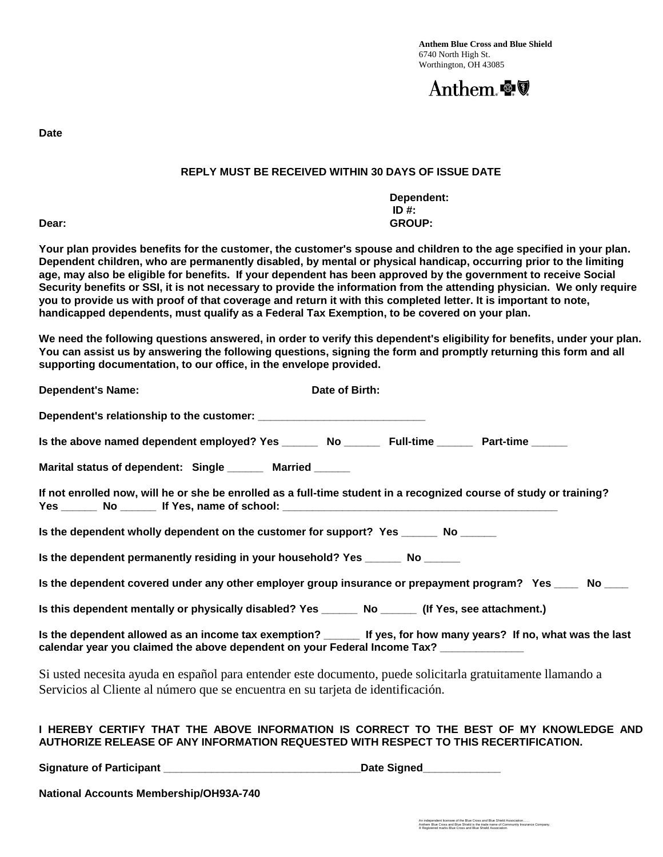

**Date**

## **REPLY MUST BE RECEIVED WITHIN 30 DAYS OF ISSUE DATE**

**Dependent: ID #: Dear: GROUP:**

**Your plan provides benefits for the customer, the customer's spouse and children to the age specified in your plan. Dependent children, who are permanently disabled, by mental or physical handicap, occurring prior to the limiting age, may also be eligible for benefits. If your dependent has been approved by the government to receive Social Security benefits or SSI, it is not necessary to provide the information from the attending physician. We only require you to provide us with proof of that coverage and return it with this completed letter. It is important to note, handicapped dependents, must qualify as a Federal Tax Exemption, to be covered on your plan.**

**We need the following questions answered, in order to verify this dependent's eligibility for benefits, under your plan. You can assist us by answering the following questions, signing the form and promptly returning this form and all supporting documentation, to our office, in the envelope provided.**

| <b>Dependent's Name:</b>                                                                             | Date of Birth:                                                                                                                                                                 |  |  |
|------------------------------------------------------------------------------------------------------|--------------------------------------------------------------------------------------------------------------------------------------------------------------------------------|--|--|
|                                                                                                      |                                                                                                                                                                                |  |  |
| Is the above named dependent employed? Yes __________ No _____________ Full-time ___________________ |                                                                                                                                                                                |  |  |
| Marital status of dependent: Single _______ Married ______                                           |                                                                                                                                                                                |  |  |
|                                                                                                      | If not enrolled now, will he or she be enrolled as a full-time student in a recognized course of study or training?                                                            |  |  |
| Is the dependent wholly dependent on the customer for support? Yes _______ No ______                 |                                                                                                                                                                                |  |  |
| Is the dependent permanently residing in your household? Yes ________ No ______                      |                                                                                                                                                                                |  |  |
|                                                                                                      | Is the dependent covered under any other employer group insurance or prepayment program? Yes ____ No ____                                                                      |  |  |
| Is this dependent mentally or physically disabled? Yes ________ No _______ (If Yes, see attachment.) |                                                                                                                                                                                |  |  |
| calendar year you claimed the above dependent on your Federal Income Tax? ____________               | Is the dependent allowed as an income tax exemption? _____ If yes, for how many years? If no, what was the last                                                                |  |  |
| Servicios al Cliente al número que se encuentra en su tarjeta de identificación.                     | Si usted necesita ayuda en español para entender este documento, puede solicitarla gratuitamente llamando a                                                                    |  |  |
|                                                                                                      | I HEREBY CERTIFY THAT THE ABOVE INFORMATION IS CORRECT TO THE BEST OF MY KNOWLEDGE AND<br>AUTHORIZE RELEASE OF ANY INFORMATION REQUESTED WITH RESPECT TO THIS RECERTIFICATION. |  |  |

**Signature of Participant \_\_\_\_\_\_\_\_\_\_\_\_\_\_\_\_\_\_\_\_\_\_\_\_\_\_\_\_\_\_\_\_\_Date Signed\_\_\_\_\_\_\_\_\_\_\_\_\_**

**National Accounts Membership/OH93A-740**

An independent licensee of the Blue Cross and Blue Shield Association……<br>Anthem Blue Cross and Blue Shield is the trade name of Community Insurance Company.<br>® Registered marks Blue Cross and Blue Shield Association.